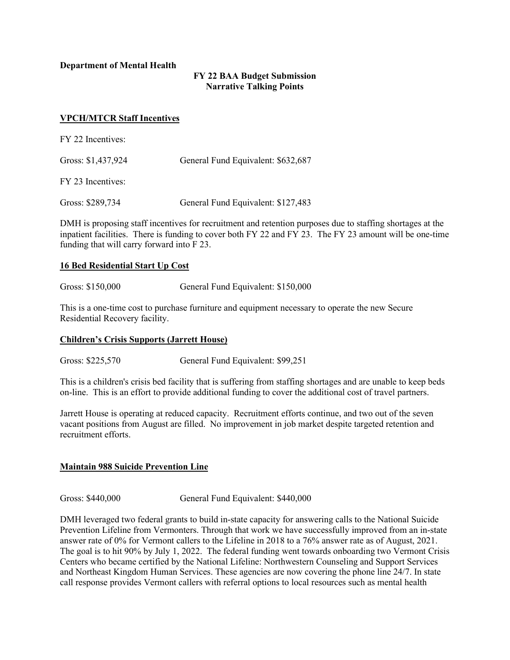**Department of Mental Health**

# **FY 22 BAA Budget Submission Narrative Talking Points**

## **VPCH/MTCR Staff Incentives**

| FY 22 Incentives:  |                                    |
|--------------------|------------------------------------|
| Gross: \$1,437,924 | General Fund Equivalent: \$632,687 |
| FY 23 Incentives:  |                                    |
| Gross: \$289,734   | General Fund Equivalent: \$127,483 |

DMH is proposing staff incentives for recruitment and retention purposes due to staffing shortages at the inpatient facilities. There is funding to cover both FY 22 and FY 23. The FY 23 amount will be one-time funding that will carry forward into F 23.

## **16 Bed Residential Start Up Cost**

Gross: \$150,000 General Fund Equivalent: \$150,000

This is a one-time cost to purchase furniture and equipment necessary to operate the new Secure Residential Recovery facility.

## **Children's Crisis Supports (Jarrett House)**

Gross: \$225,570 General Fund Equivalent: \$99,251

This is a children's crisis bed facility that is suffering from staffing shortages and are unable to keep beds on-line. This is an effort to provide additional funding to cover the additional cost of travel partners.

Jarrett House is operating at reduced capacity. Recruitment efforts continue, and two out of the seven vacant positions from August are filled. No improvement in job market despite targeted retention and recruitment efforts.

# **Maintain 988 Suicide Prevention Line**

Gross: \$440,000 General Fund Equivalent: \$440,000

DMH leveraged two federal grants to build in-state capacity for answering calls to the National Suicide Prevention Lifeline from Vermonters. Through that work we have successfully improved from an in-state answer rate of 0% for Vermont callers to the Lifeline in 2018 to a 76% answer rate as of August, 2021. The goal is to hit 90% by July 1, 2022. The federal funding went towards onboarding two Vermont Crisis Centers who became certified by the National Lifeline: Northwestern Counseling and Support Services and Northeast Kingdom Human Services. These agencies are now covering the phone line 24/7. In state call response provides Vermont callers with referral options to local resources such as mental health